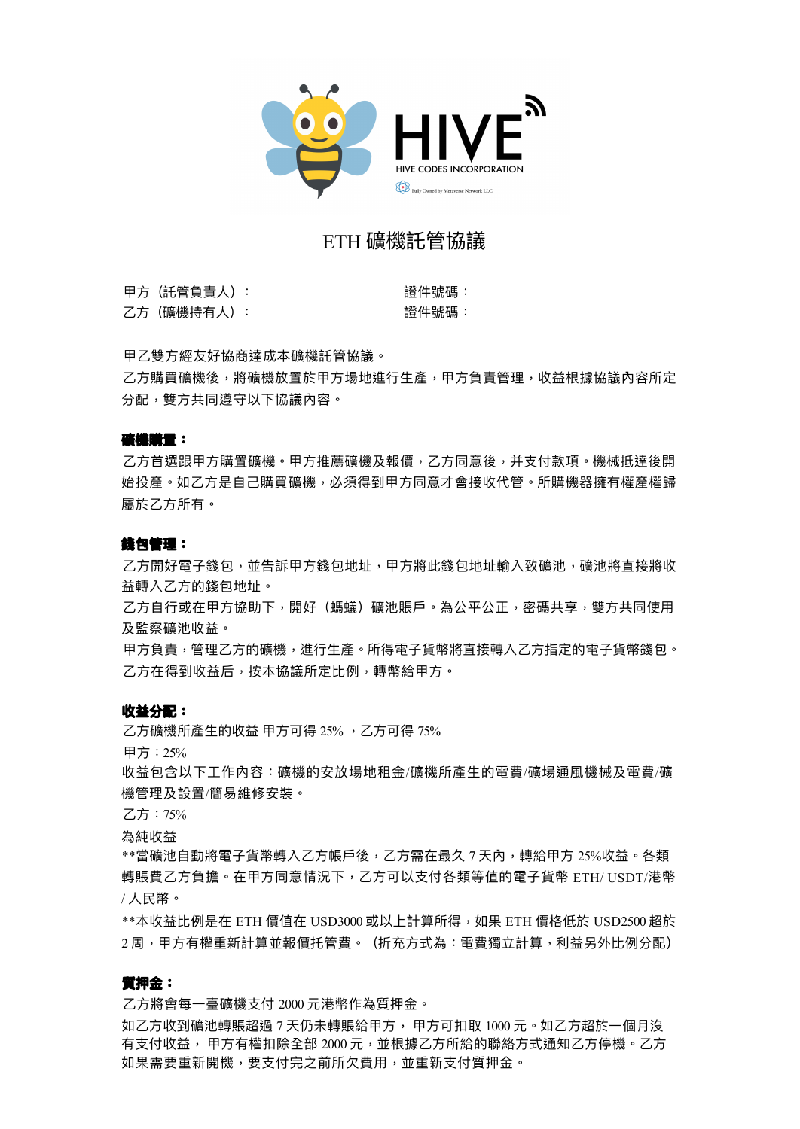

# ETH 礦機託管協議

甲方 (託管負責人): 乙方 (礦機持有人): 證件號碼: 證件號碼:

甲乙雙方經友好協商達成本礦機託管協議。

乙方購買礦機後,將礦機放置於甲方場地進行生產,甲方負責管理,收益根據協議內容所定 分配,雙⽅共同遵守以下協議內容。

#### **確機職量:**

乙方首選跟甲方購置礦機。甲方推薦礦機及報價,乙方同意後,并支付款項。機械抵達後開 始投產。如乙方是自己購買礦機,必須得到甲方同意才會接收代管。所購機器擁有權產權歸 屬於乙方所有。

#### 錢包管理:

乙方開好電子錢包,並告訴甲方錢包地址,甲方將此錢包地址輸入致礦池,礦池將直接將收 益轉入乙方的錢包地址。

乙方自行或在甲方協助下,開好(螞蟻)礦池賬戶。為公平公正,密碼共享,雙方共同使用 及監察礦池收益。

甲方負責,管理乙方的礦機,進行生產。所得電子貨幣將直接轉入乙方指定的電子貨幣錢包。 乙方在得到收益后,按本協議所定比例,轉幣給甲方。

#### 收益分配:

乙方礦機所產生的收益 甲方可得 25%, 乙方可得 75%

甲方:25 $\%$ 

收益包含以下ㄒ作內容:礦機的安放場地租金/礦機所產牛的雷費/礦場通機械及雷費/礦 機管理及設置/簡易維修安裝。

⼄⽅:75%

為純收益

\*\*當礦池⾃動將電⼦貨幣轉入⼄⽅帳⼾後,⼄⽅需在最久 7 天內,轉給甲⽅ 25%收益。各類 轉賬費乙方負擔。在甲方同意情況下,乙方可以支付各類等值的電子貨幣 ETH/ USDT/港幣 / ⼈⺠幣。

\*\*本收益比例是在 ETH 價值在 USD3000 或以上計算所得,如果 ETH 價格低於 USD2500 超於 2 周,甲方有權重新計算並報價托管費。(折充方式為:電費獨立計算,利益另外比例分配)

#### 實押金:

乙方將會每一臺礦機支付 2000 元港幣作為質押金。

如乙方收到礦池轉賬超過 7 天仍未轉賬給甲方, 甲方可扣取 1000 元。如乙方超於一個月沒 有支付收益, 甲方有權扣除全部 2000 元,並根據乙方所給的聯絡方式通知乙方停機。乙方 如果需要重新開機,要支付完之前所欠費用,並重新支付質押金。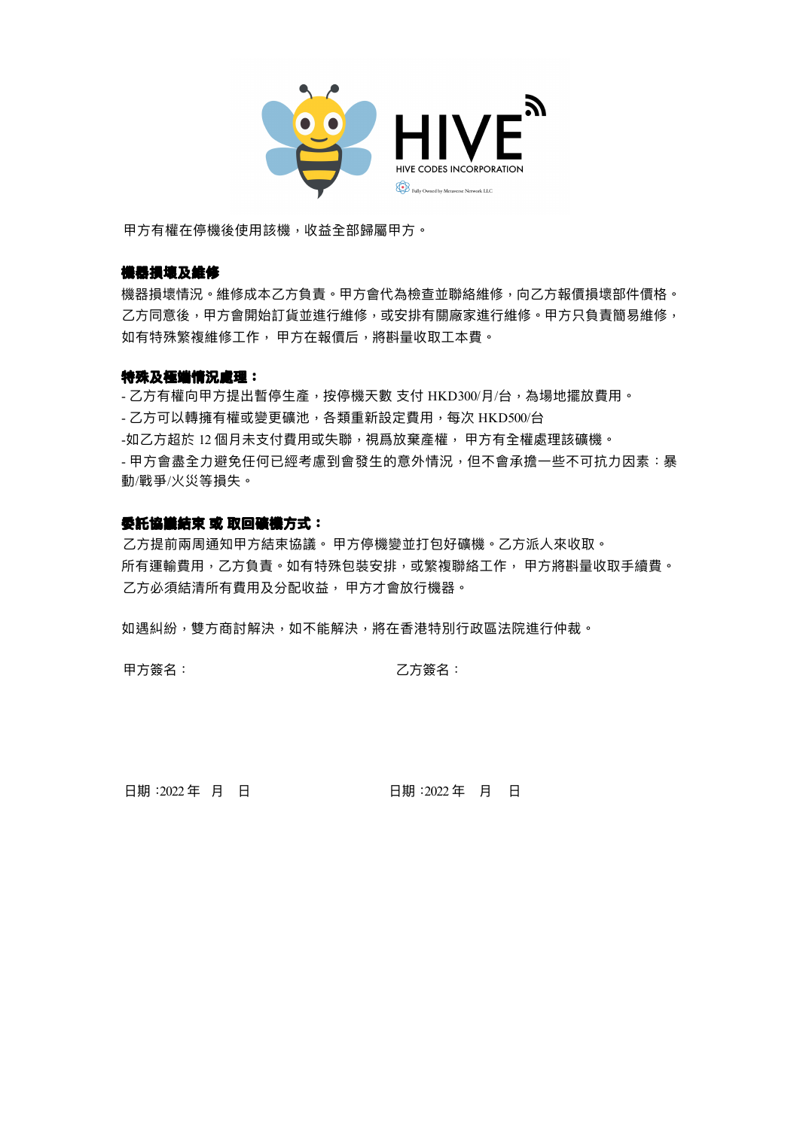

甲方有權在停機後使用該機,收益全部歸屬甲方。

### 機器損壊及維修

機器損壞情況。維修成本乙方負責。甲方會代為檢查並聯絡維修,向乙方報價損壞部件價格。 乙方同意後,甲方會開始訂貨並進行維修,或安排有關廠家進行維修。甲方只負責簡易維修, 如有特殊繁複維修⼯作, 甲⽅在報價后,將斟量收取⼯本費。

#### 特殊及極端情況處理:

- 乙方有權向甲方提出暫停生產,按停機天數 支付 HKD300/月/台,為場地擺放費用。

- 乙方可以轉擁有權或變更礦池,各類重新設定費用,每次 HKD500/台

-如乙方超於 12 個月未支付費用或失聯,視爲放棄產權, 甲方有全權處理該礦機。

- 甲方會盡全力避免任何已經考慮到會發生的意外情況,但不會承擔一些不可抗力因素: 暴 動/戰爭/火災等損失。

## 委託協議結束 或 取回礦機方式:

乙方提前兩周通知甲方結束協議。 甲方停機變並打包好礦機。乙方派人來收取。 所有運輸費用,乙方負責。如有特殊包裝安排,或繁複聯絡工作,甲方將斟量收取手續費。 乙方必須結清所有費用及分配收益, 甲方才會放行機器。

如遇糾紛,雙方商討解決,如不能解決,將在香港特別行政區法院進行仲裁。

甲⽅簽名: ⼄⽅簽名:

⽇期:2022 年 ⽉ ⽇ ⽇期:2022 年 ⽉ ⽇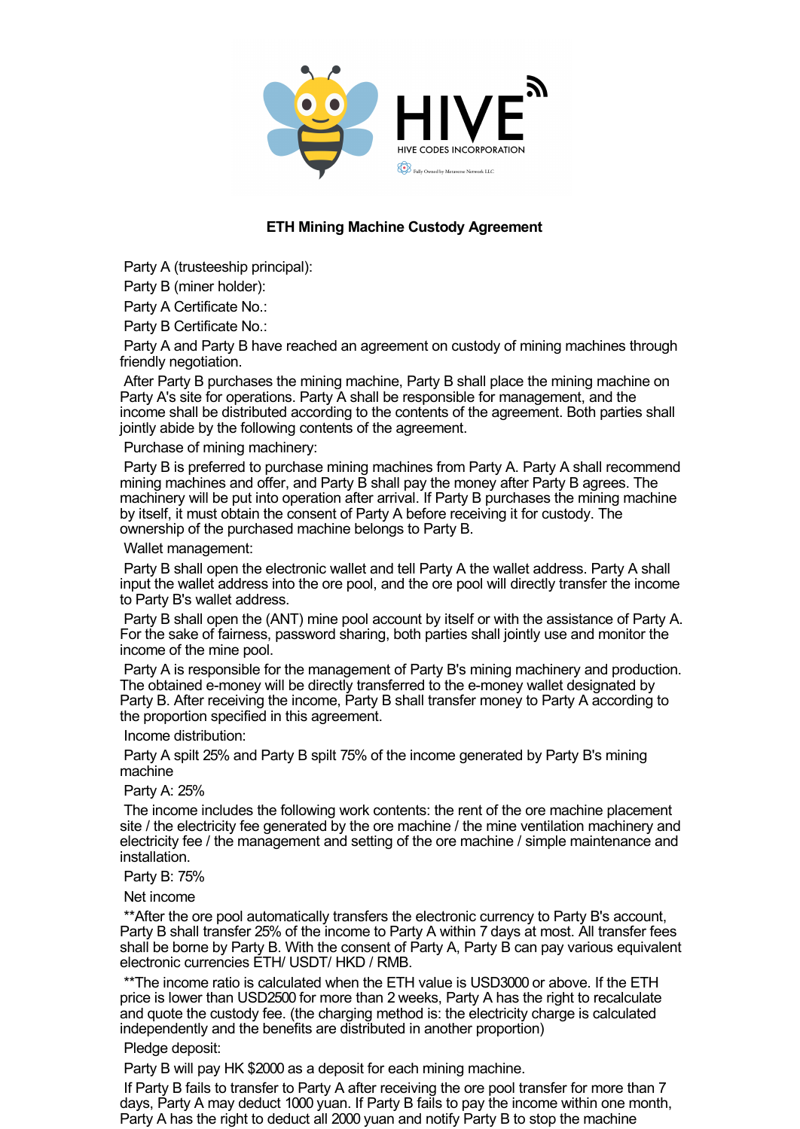

# **ETH Mining Machine Custody Agreement**

Party A (trusteeship principal):

Party B (miner holder):

Party A Certificate No.:

Party B Certificate No.:

Party A and Party B have reached an agreement on custody of mining machines through friendly negotiation.

After Party B purchases the mining machine, Party B shall place the mining machine on Party A's site for operations. Party A shall be responsible for management, and the income shall be distributed according to the contents of the agreement. Both parties shall jointly abide by the following contents of the agreement.

Purchase of mining machinery:

Party B is preferred to purchase mining machines from Party A. Party A shall recommend mining machines and offer, and Party B shall pay the money after Party B agrees. The machinery will be put into operation after arrival. If Party B purchases the mining machine by itself, it must obtain the consent of Party A before receiving it for custody. The ownership of the purchased machine belongs to Party B.

Wallet management:

Party B shall open the electronic wallet and tell Party A the wallet address. Party A shall input the wallet address into the ore pool, and the ore pool will directly transfer the income to Party B's wallet address.

Party B shall open the (ANT) mine pool account by itself or with the assistance of Party A. For the sake of fairness, password sharing, both parties shall jointly use and monitor the income of the mine pool.

Party A is responsible for the management of Party B's mining machinery and production. The obtained e-money will be directly transferred to the e-money wallet designated by Party B. After receiving the income, Party B shall transfer money to Party A according to the proportion specified in this agreement.

Income distribution:

Party A spilt 25% and Party B spilt 75% of the income generated by Party B's mining machine

Party A: 25%

The income includes the following work contents: the rent of the ore machine placement site / the electricity fee generated by the ore machine / the mine ventilation machinery and electricity fee / the management and setting of the ore machine / simple maintenance and installation.

Party B: 75%

Net income

\*\*After the ore pool automatically transfers the electronic currency to Party B's account, Party B shall transfer 25% of the income to Party A within 7 days at most. All transfer fees shall be borne by Party B. With the consent of Party A, Party B can pay various equivalent electronic currencies ETH/ USDT/ HKD / RMB.

\*\*The income ratio is calculated when the ETH value is USD3000 or above. If the ETH price is lower than USD2500 for more than 2 weeks, Party A has the right to recalculate and quote the custody fee. (the charging method is: the electricity charge is calculated independently and the benefits are distributed in another proportion)

Pledge deposit:

Party B will pay HK \$2000 as a deposit for each mining machine.

If Party B fails to transfer to Party A after receiving the ore pool transfer for more than 7 days, Party A may deduct 1000 yuan. If Party B fails to pay the income within one month, Party A has the right to deduct all 2000 yuan and notify Party B to stop the machine